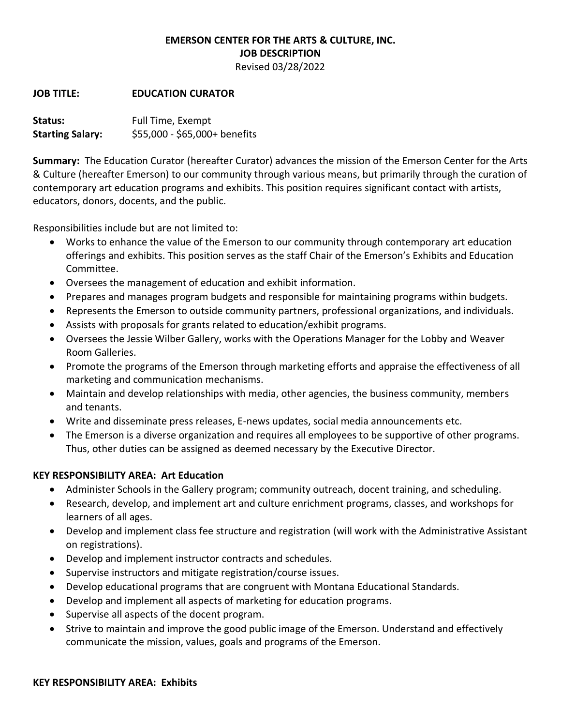# **EMERSON CENTER FOR THE ARTS & CULTURE, INC. JOB DESCRIPTION**

Revised 03/28/2022

#### **JOB TITLE: EDUCATION CURATOR**

Status: Full Time, Exempt **Starting Salary:** \$55,000 - \$65,000+ benefits

**Summary:** The Education Curator (hereafter Curator) advances the mission of the Emerson Center for the Arts & Culture (hereafter Emerson) to our community through various means, but primarily through the curation of contemporary art education programs and exhibits. This position requires significant contact with artists, educators, donors, docents, and the public.

Responsibilities include but are not limited to:

- Works to enhance the value of the Emerson to our community through contemporary art education offerings and exhibits. This position serves as the staff Chair of the Emerson's Exhibits and Education Committee.
- Oversees the management of education and exhibit information.
- Prepares and manages program budgets and responsible for maintaining programs within budgets.
- Represents the Emerson to outside community partners, professional organizations, and individuals.
- Assists with proposals for grants related to education/exhibit programs.
- Oversees the Jessie Wilber Gallery, works with the Operations Manager for the Lobby and Weaver Room Galleries.
- Promote the programs of the Emerson through marketing efforts and appraise the effectiveness of all marketing and communication mechanisms.
- Maintain and develop relationships with media, other agencies, the business community, members and tenants.
- Write and disseminate press releases, E-news updates, social media announcements etc.
- The Emerson is a diverse organization and requires all employees to be supportive of other programs. Thus, other duties can be assigned as deemed necessary by the Executive Director.

#### **KEY RESPONSIBILITY AREA: Art Education**

- Administer Schools in the Gallery program; community outreach, docent training, and scheduling.
- Research, develop, and implement art and culture enrichment programs, classes, and workshops for learners of all ages.
- Develop and implement class fee structure and registration (will work with the Administrative Assistant on registrations).
- Develop and implement instructor contracts and schedules.
- Supervise instructors and mitigate registration/course issues.
- Develop educational programs that are congruent with Montana Educational Standards.
- Develop and implement all aspects of marketing for education programs.
- Supervise all aspects of the docent program.
- Strive to maintain and improve the good public image of the Emerson. Understand and effectively communicate the mission, values, goals and programs of the Emerson.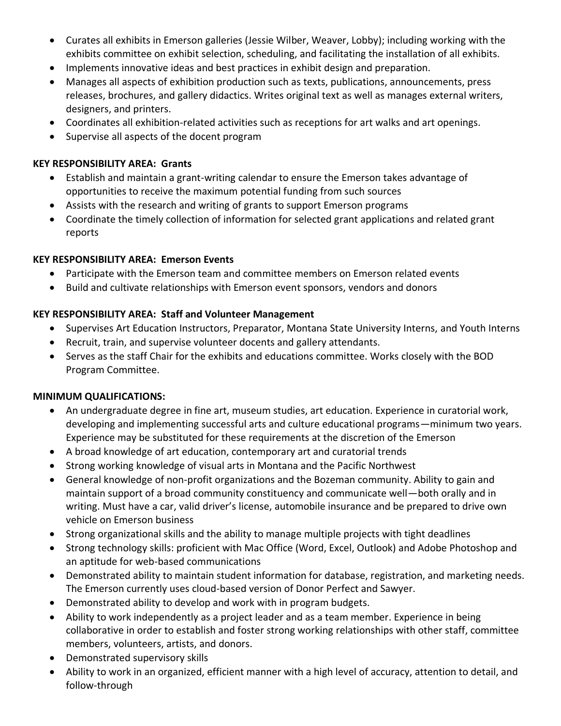- Curates all exhibits in Emerson galleries (Jessie Wilber, Weaver, Lobby); including working with the exhibits committee on exhibit selection, scheduling, and facilitating the installation of all exhibits.
- Implements innovative ideas and best practices in exhibit design and preparation.
- Manages all aspects of exhibition production such as texts, publications, announcements, press releases, brochures, and gallery didactics. Writes original text as well as manages external writers, designers, and printers.
- Coordinates all exhibition-related activities such as receptions for art walks and art openings.
- Supervise all aspects of the docent program

## **KEY RESPONSIBILITY AREA: Grants**

- Establish and maintain a grant-writing calendar to ensure the Emerson takes advantage of opportunities to receive the maximum potential funding from such sources
- Assists with the research and writing of grants to support Emerson programs
- Coordinate the timely collection of information for selected grant applications and related grant reports

## **KEY RESPONSIBILITY AREA: Emerson Events**

- Participate with the Emerson team and committee members on Emerson related events
- Build and cultivate relationships with Emerson event sponsors, vendors and donors

## **KEY RESPONSIBILITY AREA: Staff and Volunteer Management**

- Supervises Art Education Instructors, Preparator, Montana State University Interns, and Youth Interns
- Recruit, train, and supervise volunteer docents and gallery attendants.
- Serves as the staff Chair for the exhibits and educations committee. Works closely with the BOD Program Committee.

# **MINIMUM QUALIFICATIONS:**

- An undergraduate degree in fine art, museum studies, art education. Experience in curatorial work, developing and implementing successful arts and culture educational programs—minimum two years. Experience may be substituted for these requirements at the discretion of the Emerson
- A broad knowledge of art education, contemporary art and curatorial trends
- Strong working knowledge of visual arts in Montana and the Pacific Northwest
- General knowledge of non-profit organizations and the Bozeman community. Ability to gain and maintain support of a broad community constituency and communicate well—both orally and in writing. Must have a car, valid driver's license, automobile insurance and be prepared to drive own vehicle on Emerson business
- Strong organizational skills and the ability to manage multiple projects with tight deadlines
- Strong technology skills: proficient with Mac Office (Word, Excel, Outlook) and Adobe Photoshop and an aptitude for web-based communications
- Demonstrated ability to maintain student information for database, registration, and marketing needs. The Emerson currently uses cloud-based version of Donor Perfect and Sawyer.
- Demonstrated ability to develop and work with in program budgets.
- Ability to work independently as a project leader and as a team member. Experience in being collaborative in order to establish and foster strong working relationships with other staff, committee members, volunteers, artists, and donors.
- Demonstrated supervisory skills
- Ability to work in an organized, efficient manner with a high level of accuracy, attention to detail, and follow-through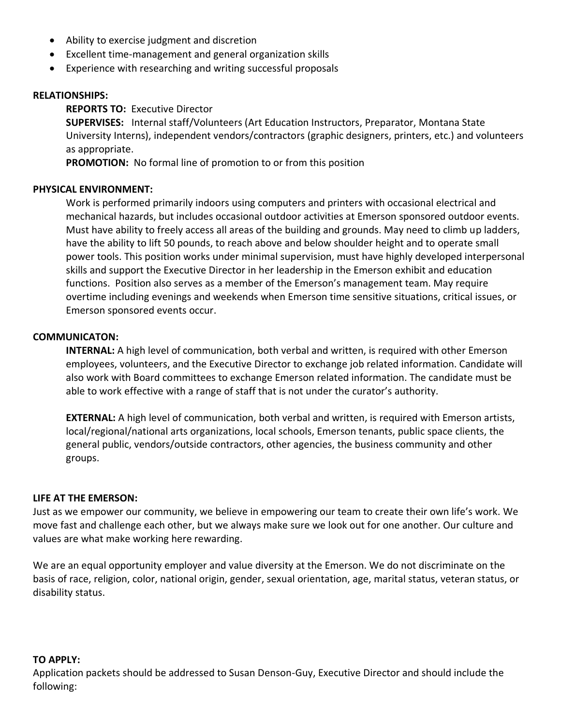- Ability to exercise judgment and discretion
- Excellent time-management and general organization skills
- Experience with researching and writing successful proposals

#### **RELATIONSHIPS:**

## **REPORTS TO:** Executive Director

**SUPERVISES:** Internal staff/Volunteers (Art Education Instructors, Preparator, Montana State University Interns), independent vendors/contractors (graphic designers, printers, etc.) and volunteers as appropriate.

**PROMOTION:** No formal line of promotion to or from this position

## **PHYSICAL ENVIRONMENT:**

Work is performed primarily indoors using computers and printers with occasional electrical and mechanical hazards, but includes occasional outdoor activities at Emerson sponsored outdoor events. Must have ability to freely access all areas of the building and grounds. May need to climb up ladders, have the ability to lift 50 pounds, to reach above and below shoulder height and to operate small power tools. This position works under minimal supervision, must have highly developed interpersonal skills and support the Executive Director in her leadership in the Emerson exhibit and education functions. Position also serves as a member of the Emerson's management team. May require overtime including evenings and weekends when Emerson time sensitive situations, critical issues, or Emerson sponsored events occur.

#### **COMMUNICATON:**

**INTERNAL:** A high level of communication, both verbal and written, is required with other Emerson employees, volunteers, and the Executive Director to exchange job related information. Candidate will also work with Board committees to exchange Emerson related information. The candidate must be able to work effective with a range of staff that is not under the curator's authority.

**EXTERNAL:** A high level of communication, both verbal and written, is required with Emerson artists, local/regional/national arts organizations, local schools, Emerson tenants, public space clients, the general public, vendors/outside contractors, other agencies, the business community and other groups.

#### **LIFE AT THE EMERSON:**

Just as we empower our community, we believe in empowering our team to create their own life's work. We move fast and challenge each other, but we always make sure we look out for one another. Our culture and values are what make working here rewarding.

We are an equal opportunity employer and value diversity at the Emerson. We do not discriminate on the basis of race, religion, color, national origin, gender, sexual orientation, age, marital status, veteran status, or disability status.

#### **TO APPLY:**

Application packets should be addressed to Susan Denson-Guy, Executive Director and should include the following: